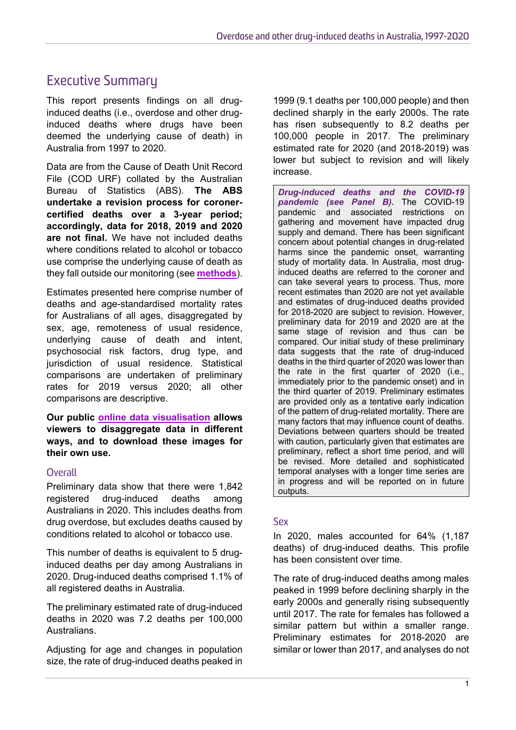# Executive Summary

This report presents findings on all druginduced deaths (i.e., overdose and other druginduced deaths where drugs have been deemed the underlying cause of death) in Australia from 1997 to 2020.

Data are from the Cause of Death Unit Record File (COD URF) collated by the Australian Bureau of Statistics (ABS). **The ABS undertake a revision process for coronercertified deaths over a 3-year period; accordingly, data for 2018, 2019 and 2020 are not final.** We have not included deaths where conditions related to alcohol or tobacco use comprise the underlying cause of death as they fall outside our monitoring (see **[methods](https://ndarc.med.unsw.edu.au/resource-analytics/trends-drug-induced-deaths-australia-1997-2020)**).

Estimates presented here comprise number of deaths and age-standardised mortality rates for Australians of all ages, disaggregated by sex, age, remoteness of usual residence, underlying cause of death and intent, psychosocial risk factors, drug type, and jurisdiction of usual residence. Statistical comparisons are undertaken of preliminary rates for 2019 versus 2020; all other comparisons are descriptive.

**Our public [online data visualisation](https://drugtrends.shinyapps.io/Deaths_2020) allows viewers to disaggregate data in different ways, and to download these images for their own use.**

#### **Overall**

Preliminary data show that there were 1,842 registered drug-induced deaths among Australians in 2020. This includes deaths from drug overdose, but excludes deaths caused by conditions related to alcohol or tobacco use.

This number of deaths is equivalent to 5 druginduced deaths per day among Australians in 2020. Drug-induced deaths comprised 1.1% of all registered deaths in Australia.

The preliminary estimated rate of drug-induced deaths in 2020 was 7.2 deaths per 100,000 Australians.

Adjusting for age and changes in population size, the rate of drug-induced deaths peaked in 1999 (9.1 deaths per 100,000 people) and then declined sharply in the early 2000s. The rate has risen subsequently to 8.2 deaths per 100,000 people in 2017. The preliminary estimated rate for 2020 (and 2018-2019) was lower but subject to revision and will likely increase.

*Drug-induced deaths and the COVID-19 pandemic (see Panel B).* The COVID-19 pandemic and associated restrictions on gathering and movement have impacted drug supply and demand. There has been significant concern about potential changes in drug-related harms since the pandemic onset, warranting study of mortality data. In Australia, most druginduced deaths are referred to the coroner and can take several years to process. Thus, more recent estimates than 2020 are not yet available and estimates of drug-induced deaths provided for 2018-2020 are subject to revision. However, preliminary data for 2019 and 2020 are at the same stage of revision and thus can be compared. Our initial study of these preliminary data suggests that the rate of drug-induced deaths in the third quarter of 2020 was lower than the rate in the first quarter of 2020 (i.e., immediately prior to the pandemic onset) and in the third quarter of 2019. Preliminary estimates are provided only as a tentative early indication of the pattern of drug-related mortality. There are many factors that may influence count of deaths. Deviations between quarters should be treated with caution, particularly given that estimates are preliminary, reflect a short time period, and will be revised. More detailed and sophisticated temporal analyses with a longer time series are in progress and will be reported on in future outputs.

#### Sex

In 2020, males accounted for 64% (1,187 deaths) of drug-induced deaths. This profile has been consistent over time.

The rate of drug-induced deaths among males peaked in 1999 before declining sharply in the early 2000s and generally rising subsequently until 2017. The rate for females has followed a similar pattern but within a smaller range. Preliminary estimates for 2018-2020 are similar or lower than 2017, and analyses do not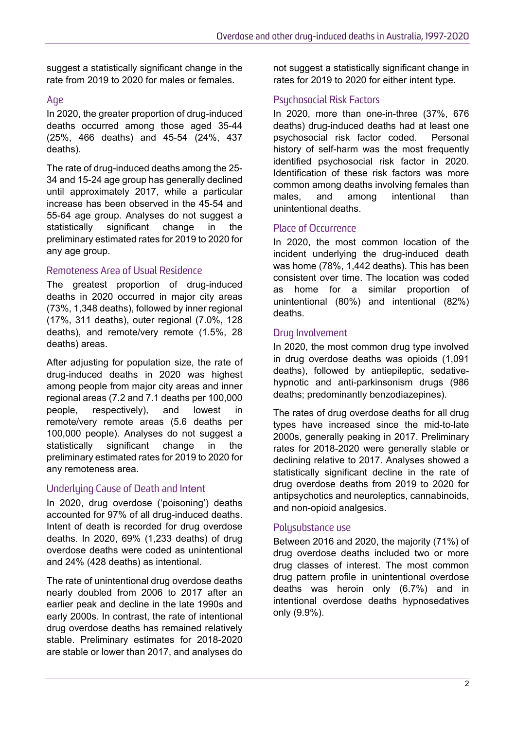suggest a statistically significant change in the rate from 2019 to 2020 for males or females.

#### Age

In 2020, the greater proportion of drug-induced deaths occurred among those aged 35-44 (25%, 466 deaths) and 45-54 (24%, 437 deaths).

The rate of drug-induced deaths among the 25- 34 and 15-24 age group has generally declined until approximately 2017, while a particular increase has been observed in the 45-54 and 55-64 age group. Analyses do not suggest a statistically significant change in the preliminary estimated rates for 2019 to 2020 for any age group.

#### Remoteness Area of Usual Residence

The greatest proportion of drug-induced deaths in 2020 occurred in major city areas (73%, 1,348 deaths), followed by inner regional (17%, 311 deaths), outer regional (7.0%, 128 deaths), and remote/very remote (1.5%, 28 deaths) areas.

After adjusting for population size, the rate of drug-induced deaths in 2020 was highest among people from major city areas and inner regional areas (7.2 and 7.1 deaths per 100,000 people, respectively), and lowest in remote/very remote areas (5.6 deaths per 100,000 people). Analyses do not suggest a statistically significant change in the preliminary estimated rates for 2019 to 2020 for any remoteness area.

#### Underluing Cause of Death and Intent

In 2020, drug overdose ('poisoning') deaths accounted for 97% of all drug-induced deaths. Intent of death is recorded for drug overdose deaths. In 2020, 69% (1,233 deaths) of drug overdose deaths were coded as unintentional and 24% (428 deaths) as intentional.

The rate of unintentional drug overdose deaths nearly doubled from 2006 to 2017 after an earlier peak and decline in the late 1990s and early 2000s. In contrast, the rate of intentional drug overdose deaths has remained relatively stable. Preliminary estimates for 2018-2020 are stable or lower than 2017, and analyses do not suggest a statistically significant change in rates for 2019 to 2020 for either intent type.

#### Psychosocial Risk Factors

In 2020, more than one-in-three (37%, 676 deaths) drug-induced deaths had at least one psychosocial risk factor coded. Personal history of self-harm was the most frequently identified psychosocial risk factor in 2020. Identification of these risk factors was more common among deaths involving females than males, and among intentional than unintentional deaths.

#### Place of Occurrence

In 2020, the most common location of the incident underlying the drug-induced death was home (78%, 1,442 deaths). This has been consistent over time. The location was coded as home for a similar proportion of unintentional (80%) and intentional (82%) deaths.

#### Drug Involvement

In 2020, the most common drug type involved in drug overdose deaths was opioids (1,091 deaths), followed by antiepileptic, sedativehypnotic and anti-parkinsonism drugs (986 deaths; predominantly benzodiazepines).

The rates of drug overdose deaths for all drug types have increased since the mid-to-late 2000s, generally peaking in 2017. Preliminary rates for 2018-2020 were generally stable or declining relative to 2017. Analyses showed a statistically significant decline in the rate of drug overdose deaths from 2019 to 2020 for antipsychotics and neuroleptics, cannabinoids, and non-opioid analgesics.

#### Polysubstance use

Between 2016 and 2020, the majority (71%) of drug overdose deaths included two or more drug classes of interest. The most common drug pattern profile in unintentional overdose deaths was heroin only (6.7%) and in intentional overdose deaths hypnosedatives only (9.9%).